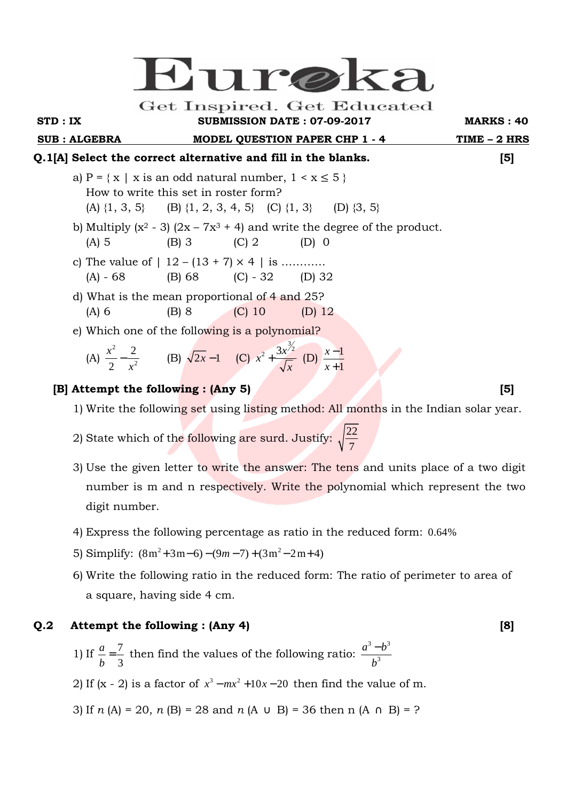# Eure

Get Inspired. Get Educated

### **STD : IX SUBMISSION DATE : 07-09-2017 MARKS : 40**

**SUB : ALGEBRA MODEL QUESTION PAPER CHP 1 - 4 TIME – 2 HRS** 

# **Q.1[A] Select the correct alternative and fill in the blanks. [5]**

- a)  $P = \{ x \mid x \text{ is an odd natural number, } 1 \le x \le 5 \}$  How to write this set in roster form? (A)  $\{1, 3, 5\}$  (B)  $\{1, 2, 3, 4, 5\}$  (C)  $\{1, 3\}$  (D)  $\{3, 5\}$
- b) Multiply  $(x^2 3)$   $(2x 7x^3 + 4)$  and write the degree of the product.  $(A) 5$   $(B) 3$   $(C) 2$   $(D) 0$ 
	- c) The value of  $| 12 (13 + 7) \times 4 |$  is .......... (A) - 68 (B) 68 (C) - 32 (D) 32
	- d) What is the mean proportional of 4 and 25? (A) 6 (B) 8 (C) 10 (D) 12
	- e) Which one of the following is a polynomial?

(A) 
$$
\frac{x^2}{2} - \frac{2}{x^2}
$$
 (B)  $\sqrt{2x} - 1$  (C)  $x^2 + \frac{3x^{\frac{3}{2}}}{\sqrt{x}}$  (D)  $\frac{x-1}{x+1}$ 

# **[B] Attempt the following : (Any 5)** [5]

- 1) Write the following set using listing method: All months in the Indian solar year.
- 2) State which of the following are surd. Justify:  $\sqrt{\frac{22}{7}}$ 7
	- 3) Use the given letter to write the answer: The tens and units place of a two digit number is m and n respectively. Write the polynomial which represent the two digit number.
	- 4) Express the following percentage as ratio in the reduced form: 0.64%
- 5) Simplify:  $(8m^2+3m-6)-(9m-7)+(3m^2-2m+4)$ 
	- 6) Write the following ratio in the reduced form: The ratio of perimeter to area of a square, having side 4 cm.

# **Q.2 Attempt the following : (Any 4) [8]**

- 1) If  $\frac{a}{1} = \frac{7}{2}$ 3 *a b*  $=\frac{1}{2}$  then find the values of the following ratio:  $3 \overline{)3}$ 3  $a^3-b$ *b* −
- 2) If  $(x 2)$  is a factor of  $x^3 mx^2 + 10x 20$  then find the value of m.
	- 3) If *n* (A) = 20, *n* (B) = 28 and *n* (A  $\cup$  B) = 36 then n (A  $\cap$  B) = ?